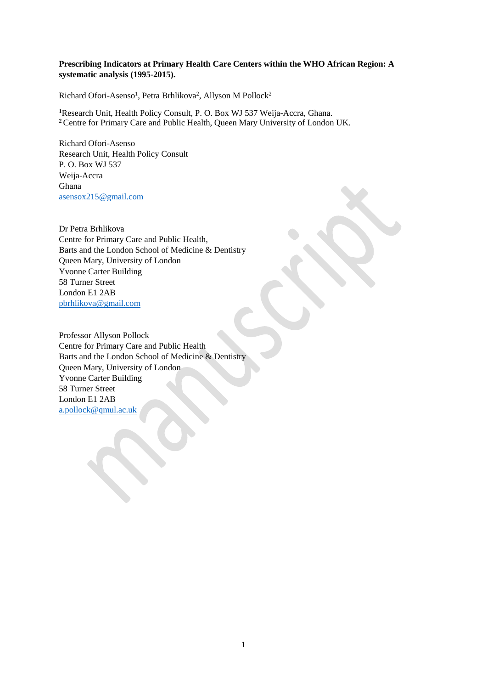# **Prescribing Indicators at Primary Health Care Centers within the WHO African Region: A systematic analysis (1995-2015).**

Richard Ofori-Asenso<sup>1</sup>, Petra Brhlikova<sup>2</sup>, Allyson M Pollock<sup>2</sup>

**<sup>1</sup>**Research Unit, Health Policy Consult, P. O. Box WJ 537 Weija-Accra, Ghana. **<sup>2</sup>**Centre for Primary Care and Public Health, Queen Mary University of London UK.

Richard Ofori-Asenso Research Unit, Health Policy Consult P. O. Box WJ 537 Weija-Accra Ghana [asensox215@gmail.com](mailto:asensox215@gmail.com)

Dr Petra Brhlikova Centre for Primary Care and Public Health, Barts and the London School of Medicine & Dentistry Queen Mary, University of London Yvonne Carter Building 58 Turner Street London E1 2AB [pbrhlikova@gmail.com](mailto:pbrhlikova@gmail.com)

Professor Allyson Pollock Centre for Primary Care and Public Health Barts and the London School of Medicine & Dentistry Queen Mary, University of London Yvonne Carter Building 58 Turner Street London E1 2AB [a.pollock@qmul.ac.uk](mailto:a.pollock@qmul.ac.uk)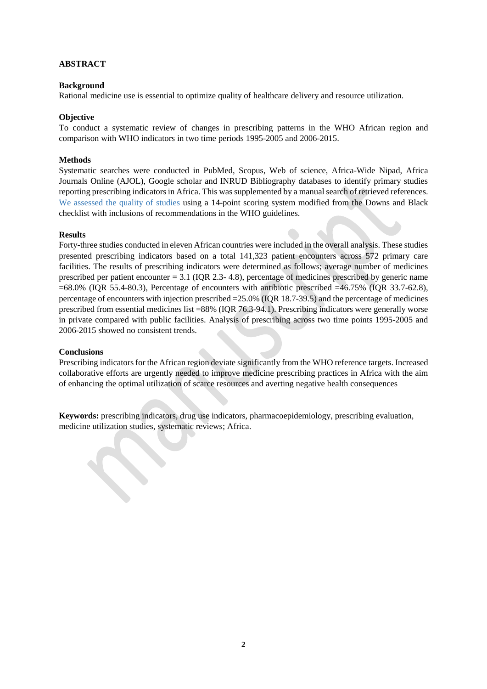# **ABSTRACT**

# **Background**

Rational medicine use is essential to optimize quality of healthcare delivery and resource utilization.

# **Objective**

To conduct a systematic review of changes in prescribing patterns in the WHO African region and comparison with WHO indicators in two time periods 1995-2005 and 2006-2015.

## **Methods**

Systematic searches were conducted in PubMed, Scopus, Web of science, Africa-Wide Nipad, Africa Journals Online (AJOL), Google scholar and INRUD Bibliography databases to identify primary studies reporting prescribing indicators in Africa. This was supplemented by a manual search of retrieved references. We assessed the quality of studies using a 14-point scoring system modified from the Downs and Black checklist with inclusions of recommendations in the WHO guidelines.

## **Results**

Forty-three studies conducted in eleven African countries were included in the overall analysis. These studies presented prescribing indicators based on a total 141,323 patient encounters across 572 primary care facilities. The results of prescribing indicators were determined as follows; average number of medicines prescribed per patient encounter  $= 3.1$  (IQR 2.3-4.8), percentage of medicines prescribed by generic name =68.0% (IQR 55.4-80.3), Percentage of encounters with antibiotic prescribed =46.75% (IQR 33.7-62.8), percentage of encounters with injection prescribed =25.0% (IQR 18.7-39.5) and the percentage of medicines prescribed from essential medicines list =88% (IQR 76.3-94.1). Prescribing indicators were generally worse in private compared with public facilities. Analysis of prescribing across two time points 1995-2005 and 2006-2015 showed no consistent trends.

## **Conclusions**

Prescribing indicators for the African region deviate significantly from the WHO reference targets. Increased collaborative efforts are urgently needed to improve medicine prescribing practices in Africa with the aim of enhancing the optimal utilization of scarce resources and averting negative health consequences

**Keywords:** prescribing indicators, drug use indicators, pharmacoepidemiology, prescribing evaluation, medicine utilization studies, systematic reviews; Africa.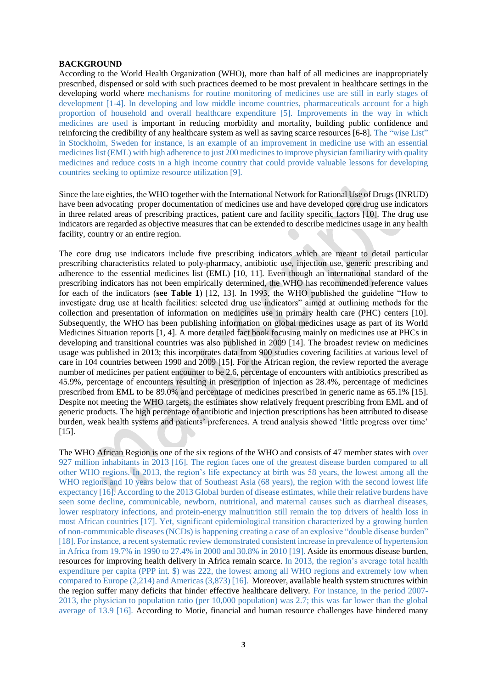#### **BACKGROUND**

According to the World Health Organization (WHO), more than half of all medicines are inappropriately prescribed, dispensed or sold with such practices deemed to be most prevalent in healthcare settings in the developing world where mechanisms for routine monitoring of medicines use are still in early stages of development [1-4]. In developing and low middle income countries, pharmaceuticals account for a high proportion of household and overall healthcare expenditure [5]. Improvements in the way in which medicines are used is important in reducing morbidity and mortality, building public confidence and reinforcing the credibility of any healthcare system as well as saving scarce resources [6-8]. The "wise List" in Stockholm, Sweden for instance, is an example of an improvement in medicine use with an essential medicines list (EML) with high adherence to just 200 medicines to improve physician familiarity with quality medicines and reduce costs in a high income country that could provide valuable lessons for developing countries seeking to optimize resource utilization [9].

Since the late eighties, the WHO together with the International Network for Rational Use of Drugs (INRUD) have been advocating proper documentation of medicines use and have developed core drug use indicators in three related areas of prescribing practices, patient care and facility specific factors [10]. The drug use indicators are regarded as objective measures that can be extended to describe medicines usage in any health facility, country or an entire region.

The core drug use indicators include five prescribing indicators which are meant to detail particular prescribing characteristics related to poly-pharmacy, antibiotic use, injection use, generic prescribing and adherence to the essential medicines list (EML) [10, 11]. Even though an international standard of the prescribing indicators has not been empirically determined, the WHO has recommended reference values for each of the indicators (**see Table 1**) [12, 13]. In 1993, the WHO published the guideline "How to investigate drug use at health facilities: selected drug use indicators" aimed at outlining methods for the collection and presentation of information on medicines use in primary health care (PHC) centers [10]. Subsequently, the WHO has been publishing information on global medicines usage as part of its World Medicines Situation reports [1, 4]. A more detailed fact book focusing mainly on medicines use at PHCs in developing and transitional countries was also published in 2009 [14]. The broadest review on medicines usage was published in 2013; this incorporates data from 900 studies covering facilities at various level of care in 104 countries between 1990 and 2009 [15]. For the African region, the review reported the average number of medicines per patient encounter to be 2.6, percentage of encounters with antibiotics prescribed as 45.9%, percentage of encounters resulting in prescription of injection as 28.4%, percentage of medicines prescribed from EML to be 89.0% and percentage of medicines prescribed in generic name as 65.1% [15]. Despite not meeting the WHO targets, the estimates show relatively frequent prescribing from EML and of generic products. The high percentage of antibiotic and injection prescriptions has been attributed to disease burden, weak health systems and patients' preferences. A trend analysis showed 'little progress over time' [15].

The WHO African Region is one of the six regions of the WHO and consists of 47 member states with over 927 million inhabitants in 2013 [16]. The region faces one of the greatest disease burden compared to all other WHO regions. In 2013, the region's life expectancy at birth was 58 years, the lowest among all the WHO regions and 10 years below that of Southeast Asia (68 years), the region with the second lowest life expectancy [16]. According to the 2013 Global burden of disease estimates, while their relative burdens have seen some decline, communicable, newborn, nutritional, and maternal causes such as diarrheal diseases, lower respiratory infections, and protein-energy malnutrition still remain the top drivers of health loss in most African countries [17]. Yet, significant epidemiological transition characterized by a growing burden of non-communicable diseases (NCDs) is happening creating a case of an explosive "double disease burden" [18]. For instance, a recent systematic review demonstrated consistent increase in prevalence of hypertension in Africa from 19.7% in 1990 to 27.4% in 2000 and 30.8% in 2010 [19]. Aside its enormous disease burden, resources for improving health delivery in Africa remain scarce. In 2013, the region's average total health expenditure per capita (PPP int. \$) was 222, the lowest among all WHO regions and extremely low when compared to Europe (2,214) and Americas (3,873) [16]. Moreover, available health system structures within the region suffer many deficits that hinder effective healthcare delivery. For instance, in the period 2007- 2013, the physician to population ratio (per 10,000 population) was 2.7; this was far lower than the global average of 13.9 [16]. According to Motie, financial and human resource challenges have hindered many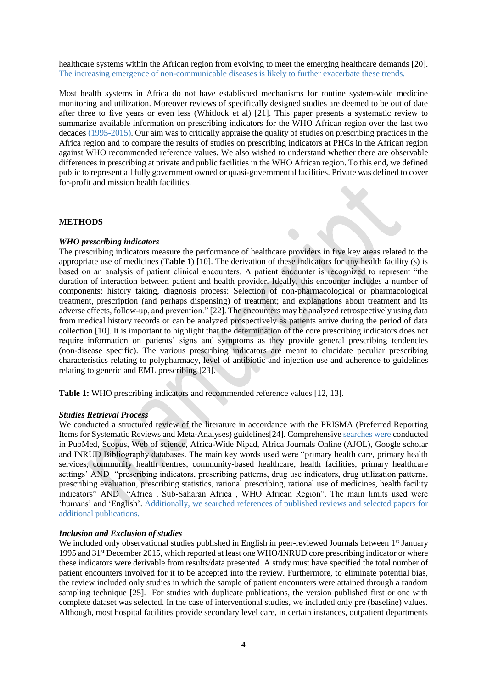healthcare systems within the African region from evolving to meet the emerging healthcare demands [20]. The increasing emergence of non-communicable diseases is likely to further exacerbate these trends.

Most health systems in Africa do not have established mechanisms for routine system-wide medicine monitoring and utilization. Moreover reviews of specifically designed studies are deemed to be out of date after three to five years or even less (Whitlock et al) [21]. This paper presents a systematic review to summarize available information on prescribing indicators for the WHO African region over the last two decades (1995-2015). Our aim was to critically appraise the quality of studies on prescribing practices in the Africa region and to compare the results of studies on prescribing indicators at PHCs in the African region against WHO recommended reference values. We also wished to understand whether there are observable differences in prescribing at private and public facilities in the WHO African region. To this end, we defined public to represent all fully government owned or quasi-governmental facilities. Private was defined to cover for-profit and mission health facilities.

#### **METHODS**

#### *WHO prescribing indicators*

The prescribing indicators measure the performance of healthcare providers in five key areas related to the appropriate use of medicines (**Table 1**) [10]. The derivation of these indicators for any health facility (s) is based on an analysis of patient clinical encounters. A patient encounter is recognized to represent "the duration of interaction between patient and health provider. Ideally, this encounter includes a number of components: history taking, diagnosis process: Selection of non-pharmacological or pharmacological treatment, prescription (and perhaps dispensing) of treatment; and explanations about treatment and its adverse effects, follow-up, and prevention." [22]. The encounters may be analyzed retrospectively using data from medical history records or can be analyzed prospectively as patients arrive during the period of data collection [10]. It is important to highlight that the determination of the core prescribing indicators does not require information on patients' signs and symptoms as they provide general prescribing tendencies (non-disease specific). The various prescribing indicators are meant to elucidate peculiar prescribing characteristics relating to polypharmacy, level of antibiotic and injection use and adherence to guidelines relating to generic and EML prescribing [23].

**Table 1:** WHO prescribing indicators and recommended reference values [12, 13].

#### *Studies Retrieval Process*

We conducted a structured review of the literature in accordance with the PRISMA (Preferred Reporting Items for Systematic Reviews and Meta-Analyses) guidelines[24]. Comprehensive searches were conducted in PubMed, Scopus, Web of science, Africa-Wide Nipad, Africa Journals Online (AJOL), Google scholar and INRUD Bibliography databases. The main key words used were "primary health care, primary health services, community health centres, community-based healthcare, health facilities, primary healthcare settings' AND "prescribing indicators, prescribing patterns, drug use indicators, drug utilization patterns, prescribing evaluation, prescribing statistics, rational prescribing, rational use of medicines, health facility indicators" AND "Africa , Sub-Saharan Africa , WHO African Region". The main limits used were 'humans' and 'English'. Additionally, we searched references of published reviews and selected papers for additional publications.

#### *Inclusion and Exclusion of studies*

We included only observational studies published in English in peer-reviewed Journals between 1<sup>st</sup> January 1995 and 31st December 2015, which reported at least one WHO/INRUD core prescribing indicator or where these indicators were derivable from results/data presented. A study must have specified the total number of patient encounters involved for it to be accepted into the review. Furthermore, to eliminate potential bias, the review included only studies in which the sample of patient encounters were attained through a random sampling technique [25]. For studies with duplicate publications, the version published first or one with complete dataset was selected. In the case of interventional studies, we included only pre (baseline) values. Although, most hospital facilities provide secondary level care, in certain instances, outpatient departments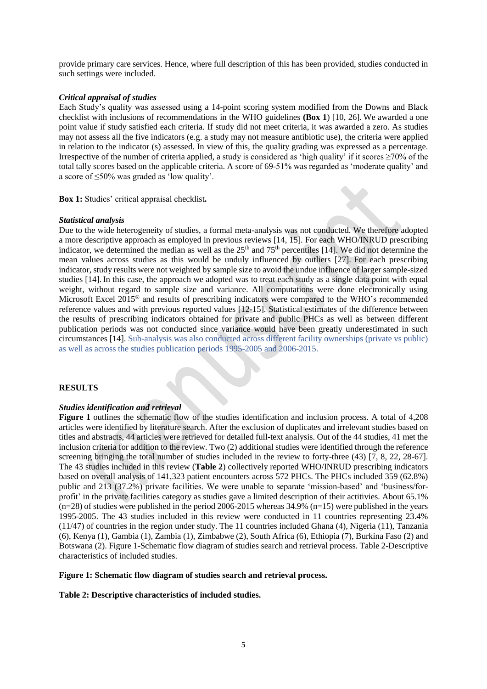provide primary care services. Hence, where full description of this has been provided, studies conducted in such settings were included.

## *Critical appraisal of studies*

Each Study's quality was assessed using a 14-point scoring system modified from the Downs and Black checklist with inclusions of recommendations in the WHO guidelines **(Box 1**) [10, 26]. We awarded a one point value if study satisfied each criteria. If study did not meet criteria, it was awarded a zero. As studies may not assess all the five indicators (e.g. a study may not measure antibiotic use), the criteria were applied in relation to the indicator (s) assessed. In view of this, the quality grading was expressed as a percentage. Irrespective of the number of criteria applied, a study is considered as 'high quality' if it scores  $\geq$ 70% of the total tally scores based on the applicable criteria. A score of 69-51% was regarded as 'moderate quality' and a score of ≤50% was graded as 'low quality'.

**Box 1:** Studies' critical appraisal checklist**.**

## *Statistical analysis*

Due to the wide heterogeneity of studies, a formal meta-analysis was not conducted. We therefore adopted a more descriptive approach as employed in previous reviews [14, 15]. For each WHO/INRUD prescribing indicator, we determined the median as well as the  $25<sup>th</sup>$  and  $75<sup>th</sup>$  percentiles [14]. We did not determine the mean values across studies as this would be unduly influenced by outliers [27]. For each prescribing indicator, study results were not weighted by sample size to avoid the undue influence of larger sample-sized studies [14]. In this case, the approach we adopted was to treat each study as a single data point with equal weight, without regard to sample size and variance. All computations were done electronically using Microsoft Excel 2015® and results of prescribing indicators were compared to the WHO's recommended reference values and with previous reported values [12-15]. Statistical estimates of the difference between the results of prescribing indicators obtained for private and public PHCs as well as between different publication periods was not conducted since variance would have been greatly underestimated in such circumstances [14]. Sub-analysis was also conducted across different facility ownerships (private vs public) as well as across the studies publication periods 1995-2005 and 2006-2015.

## **RESULTS**

## *Studies identification and retrieval*

**Figure 1** outlines the schematic flow of the studies identification and inclusion process. A total of 4,208 articles were identified by literature search. After the exclusion of duplicates and irrelevant studies based on titles and abstracts, 44 articles were retrieved for detailed full-text analysis. Out of the 44 studies, 41 met the inclusion criteria for addition to the review. Two (2) additional studies were identified through the reference screening bringing the total number of studies included in the review to forty-three (43) [7, 8, 22, 28-67]. The 43 studies included in this review (**Table 2**) collectively reported WHO/INRUD prescribing indicators based on overall analysis of 141,323 patient encounters across 572 PHCs. The PHCs included 359 (62.8%) public and 213 (37.2%) private facilities. We were unable to separate 'mission-based' and 'business/forprofit' in the private facilities category as studies gave a limited description of their actitivies. About 65.1%  $(n=28)$  of studies were published in the period 2006-2015 whereas 34.9%  $(n=15)$  were published in the years 1995-2005. The 43 studies included in this review were conducted in 11 countries representing 23.4% (11/47) of countries in the region under study. The 11 countries included Ghana (4), Nigeria (11), Tanzania (6), Kenya (1), Gambia (1), Zambia (1), Zimbabwe (2), South Africa (6), Ethiopia (7), Burkina Faso (2) and Botswana (2). Figure 1-Schematic flow diagram of studies search and retrieval process. Table 2-Descriptive characteristics of included studies.

## **Figure 1: Schematic flow diagram of studies search and retrieval process.**

## **Table 2: Descriptive characteristics of included studies.**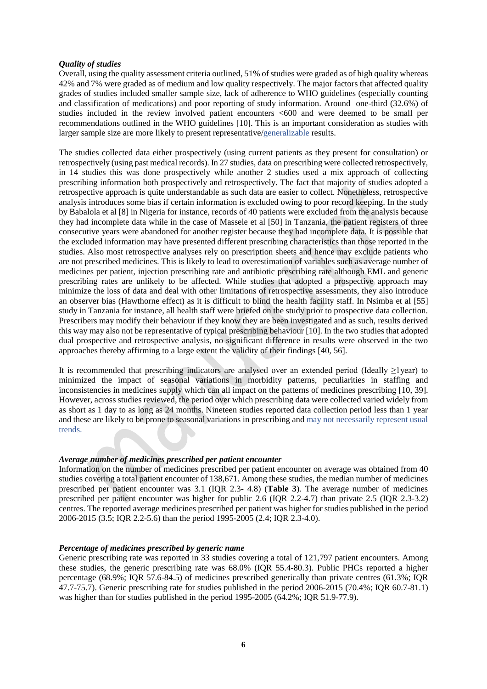## *Quality of studies*

Overall, using the quality assessment criteria outlined, 51% of studies were graded as of high quality whereas 42% and 7% were graded as of medium and low quality respectively. The major factors that affected quality grades of studies included smaller sample size, lack of adherence to WHO guidelines (especially counting and classification of medications) and poor reporting of study information. Around one-third (32.6%) of studies included in the review involved patient encounters <600 and were deemed to be small per recommendations outlined in the WHO guidelines [10]. This is an important consideration as studies with larger sample size are more likely to present representative/generalizable results.

The studies collected data either prospectively (using current patients as they present for consultation) or retrospectively (using past medical records). In 27 studies, data on prescribing were collected retrospectively, in 14 studies this was done prospectively while another 2 studies used a mix approach of collecting prescribing information both prospectively and retrospectively. The fact that majority of studies adopted a retrospective approach is quite understandable as such data are easier to collect. Nonetheless, retrospective analysis introduces some bias if certain information is excluded owing to poor record keeping. In the study by Babalola et al [8] in Nigeria for instance, records of 40 patients were excluded from the analysis because they had incomplete data while in the case of Massele et al [50] in Tanzania, the patient registers of three consecutive years were abandoned for another register because they had incomplete data. It is possible that the excluded information may have presented different prescribing characteristics than those reported in the studies. Also most retrospective analyses rely on prescription sheets and hence may exclude patients who are not prescribed medicines. This is likely to lead to overestimation of variables such as average number of medicines per patient, injection prescribing rate and antibiotic prescribing rate although EML and generic prescribing rates are unlikely to be affected. While studies that adopted a prospective approach may minimize the loss of data and deal with other limitations of retrospective assessments, they also introduce an observer bias (Hawthorne effect) as it is difficult to blind the health facility staff. In Nsimba et al [55] study in Tanzania for instance, all health staff were briefed on the study prior to prospective data collection. Prescribers may modify their behaviour if they know they are been investigated and as such, results derived this way may also not be representative of typical prescribing behaviour [10]. In the two studies that adopted dual prospective and retrospective analysis, no significant difference in results were observed in the two approaches thereby affirming to a large extent the validity of their findings [40, 56].

It is recommended that prescribing indicators are analysed over an extended period (Ideally  $\geq$ 1year) to minimized the impact of seasonal variations in morbidity patterns, peculiarities in staffing and inconsistencies in medicines supply which can all impact on the patterns of medicines prescribing [10, 39]. However, across studies reviewed, the period over which prescribing data were collected varied widely from as short as 1 day to as long as 24 months. Nineteen studies reported data collection period less than 1 year and these are likely to be prone to seasonal variations in prescribing and may not necessarily represent usual trends.

## *Average number of medicines prescribed per patient encounter*

Information on the number of medicines prescribed per patient encounter on average was obtained from 40 studies covering a total patient encounter of 138,671. Among these studies, the median number of medicines prescribed per patient encounter was 3.1 (IQR 2.3- 4.8) (**Table 3**). The average number of medicines prescribed per patient encounter was higher for public 2.6 (IQR 2.2-4.7) than private 2.5 (IQR 2.3-3.2) centres. The reported average medicines prescribed per patient was higher for studies published in the period 2006-2015 (3.5; IQR 2.2-5.6) than the period 1995-2005 (2.4; IQR 2.3-4.0).

## *Percentage of medicines prescribed by generic name*

Generic prescribing rate was reported in 33 studies covering a total of 121,797 patient encounters. Among these studies, the generic prescribing rate was 68.0% (IQR 55.4-80.3). Public PHCs reported a higher percentage (68.9%; IQR 57.6-84.5) of medicines prescribed generically than private centres (61.3%; IQR 47.7-75.7). Generic prescribing rate for studies published in the period 2006-2015 (70.4%; IQR 60.7-81.1) was higher than for studies published in the period 1995-2005 (64.2%; IQR 51.9-77.9).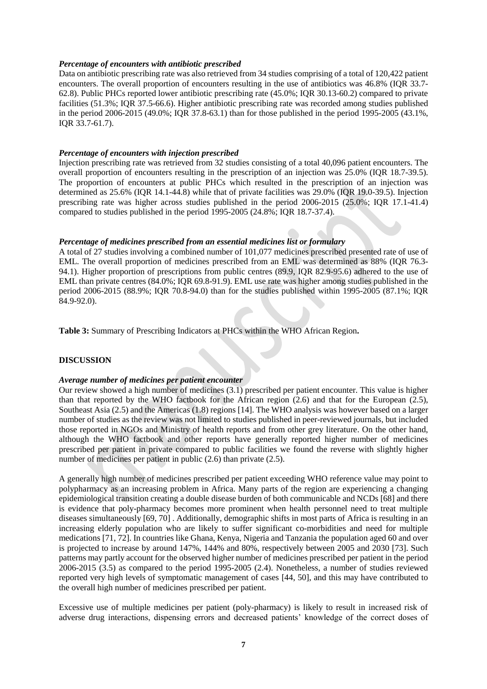#### *Percentage of encounters with antibiotic prescribed*

Data on antibiotic prescribing rate was also retrieved from 34 studies comprising of a total of 120,422 patient encounters. The overall proportion of encounters resulting in the use of antibiotics was 46.8% (IQR 33.7- 62.8). Public PHCs reported lower antibiotic prescribing rate (45.0%; IQR 30.13-60.2) compared to private facilities (51.3%; IQR 37.5-66.6). Higher antibiotic prescribing rate was recorded among studies published in the period 2006-2015 (49.0%; IQR 37.8-63.1) than for those published in the period 1995-2005 (43.1%, IQR 33.7-61.7).

#### *Percentage of encounters with injection prescribed*

Injection prescribing rate was retrieved from 32 studies consisting of a total 40,096 patient encounters. The overall proportion of encounters resulting in the prescription of an injection was 25.0% (IQR 18.7-39.5). The proportion of encounters at public PHCs which resulted in the prescription of an injection was determined as 25.6% (IQR 14.1-44.8) while that of private facilities was 29.0% (IQR 19.0-39.5). Injection prescribing rate was higher across studies published in the period 2006-2015 (25.0%; IQR 17.1-41.4) compared to studies published in the period 1995-2005 (24.8%; IQR 18.7-37.4).

## *Percentage of medicines prescribed from an essential medicines list or formulary*

A total of 27 studies involving a combined number of 101,077 medicines prescribed presented rate of use of EML. The overall proportion of medicines prescribed from an EML was determined as 88% (IQR 76.3- 94.1). Higher proportion of prescriptions from public centres (89.9, IQR 82.9-95.6) adhered to the use of EML than private centres (84.0%; IQR 69.8-91.9). EML use rate was higher among studies published in the period 2006-2015 (88.9%; IQR 70.8-94.0) than for the studies published within 1995-2005 (87.1%; IQR 84.9-92.0).

**Table 3:** Summary of Prescribing Indicators at PHCs within the WHO African Region**.**

## **DISCUSSION**

## *Average number of medicines per patient encounter*

Our review showed a high number of medicines (3.1) prescribed per patient encounter. This value is higher than that reported by the WHO factbook for the African region (2.6) and that for the European (2.5), Southeast Asia (2.5) and the Americas (1.8) regions [14]. The WHO analysis was however based on a larger number of studies as the review was not limited to studies published in peer-reviewed journals, but included those reported in NGOs and Ministry of health reports and from other grey literature. On the other hand, although the WHO factbook and other reports have generally reported higher number of medicines prescribed per patient in private compared to public facilities we found the reverse with slightly higher number of medicines per patient in public (2.6) than private (2.5).

A generally high number of medicines prescribed per patient exceeding WHO reference value may point to polypharmacy as an increasing problem in Africa. Many parts of the region are experiencing a changing epidemiological transition creating a double disease burden of both communicable and NCDs [68] and there is evidence that poly-pharmacy becomes more prominent when health personnel need to treat multiple diseases simultaneously [69, 70] . Additionally, demographic shifts in most parts of Africa is resulting in an increasing elderly population who are likely to suffer significant co-morbidities and need for multiple medications [71, 72]. In countries like Ghana, Kenya, Nigeria and Tanzania the population aged 60 and over is projected to increase by around 147%, 144% and 80%, respectively between 2005 and 2030 [73]. Such patterns may partly account for the observed higher number of medicines prescribed per patient in the period 2006-2015 (3.5) as compared to the period 1995-2005 (2.4). Nonetheless, a number of studies reviewed reported very high levels of symptomatic management of cases [44, 50], and this may have contributed to the overall high number of medicines prescribed per patient.

Excessive use of multiple medicines per patient (poly-pharmacy) is likely to result in increased risk of adverse drug interactions, dispensing errors and decreased patients' knowledge of the correct doses of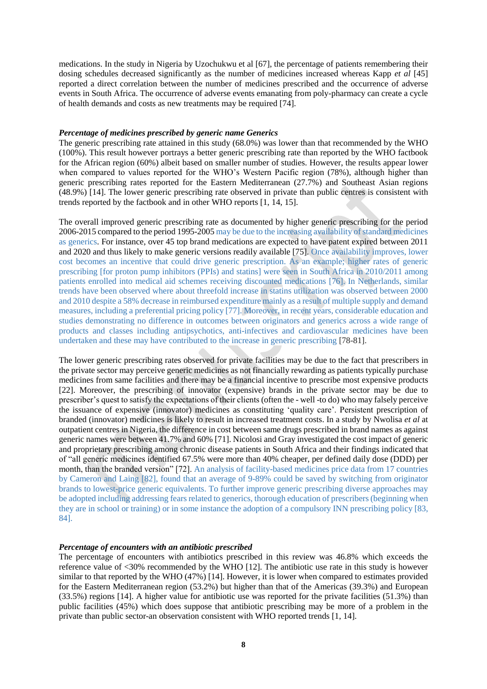medications. In the study in Nigeria by Uzochukwu et al [67], the percentage of patients remembering their dosing schedules decreased significantly as the number of medicines increased whereas Kapp *et al* [45] reported a direct correlation between the number of medicines prescribed and the occurrence of adverse events in South Africa. The occurrence of adverse events emanating from poly-pharmacy can create a cycle of health demands and costs as new treatments may be required [74].

#### *Percentage of medicines prescribed by generic name Generics*

The generic prescribing rate attained in this study (68.0%) was lower than that recommended by the WHO (100%). This result however portrays a better generic prescribing rate than reported by the WHO factbook for the African region (60%) albeit based on smaller number of studies. However, the results appear lower when compared to values reported for the WHO's Western Pacific region (78%), although higher than generic prescribing rates reported for the Eastern Mediterranean (27.7%) and Southeast Asian regions (48.9%) [14]. The lower generic prescribing rate observed in private than public centres is consistent with trends reported by the factbook and in other WHO reports [1, 14, 15].

The overall improved generic prescribing rate as documented by higher generic prescribing for the period 2006-2015 compared to the period 1995-2005 may be due to the increasing availability of standard medicines as generics. For instance, over 45 top brand medications are expected to have patent expired between 2011 and 2020 and thus likely to make generic versions readily available [75]. Once availability improves, lower cost becomes an incentive that could drive generic prescription. As an example; higher rates of generic prescribing [for proton pump inhibitors (PPIs) and statins] were seen in South Africa in 2010/2011 among patients enrolled into medical aid schemes receiving discounted medications [76]. In Netherlands, similar trends have been observed where about threefold increase in statins utilization was observed between 2000 and 2010 despite a 58% decrease in reimbursed expenditure mainly as a result of multiple supply and demand measures, including a preferential pricing policy [77]. Moreover, in recent years, considerable education and studies demonstrating no difference in outcomes between originators and generics across a wide range of products and classes including antipsychotics, anti-infectives and cardiovascular medicines have been undertaken and these may have contributed to the increase in generic prescribing [78-81].

The lower generic prescribing rates observed for private facilities may be due to the fact that prescribers in the private sector may perceive generic medicines as not financially rewarding as patients typically purchase medicines from same facilities and there may be a financial incentive to prescribe most expensive products [22]. Moreover, the prescribing of innovator (expensive) brands in the private sector may be due to prescriber's quest to satisfy the expectations of their clients (often the - well -to do) who may falsely perceive the issuance of expensive (innovator) medicines as constituting 'quality care'. Persistent prescription of branded (innovator) medicines is likely to result in increased treatment costs. In a study by Nwolisa *et al* at outpatient centres in Nigeria, the difference in cost between same drugs prescribed in brand names as against generic names were between 41.7% and 60% [71]. Nicolosi and Gray investigated the cost impact of generic and proprietary prescribing among chronic disease patients in South Africa and their findings indicated that of "all generic medicines identified 67.5% were more than 40% cheaper, per defined daily dose (DDD) per month, than the branded version" [72]. An analysis of facility-based medicines price data from 17 countries by Cameron and Laing [82], found that an average of 9-89% could be saved by switching from originator brands to lowest-price generic equivalents. To further improve generic prescribing diverse approaches may be adopted including addressing fears related to generics, thorough education of prescribers (beginning when they are in school or training) or in some instance the adoption of a compulsory INN prescribing policy [83, 84].

#### *Percentage of encounters with an antibiotic prescribed*

The percentage of encounters with antibiotics prescribed in this review was 46.8% which exceeds the reference value of <30% recommended by the WHO [12]. The antibiotic use rate in this study is however similar to that reported by the WHO (47%) [14]. However, it is lower when compared to estimates provided for the Eastern Mediterranean region (53.2%) but higher than that of the Americas (39.3%) and European (33.5%) regions [14]. A higher value for antibiotic use was reported for the private facilities (51.3%) than public facilities (45%) which does suppose that antibiotic prescribing may be more of a problem in the private than public sector-an observation consistent with WHO reported trends [1, 14].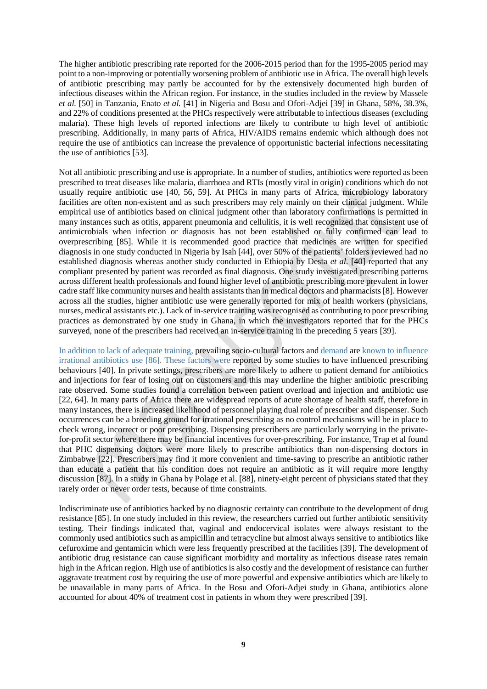The higher antibiotic prescribing rate reported for the 2006-2015 period than for the 1995-2005 period may point to a non-improving or potentially worsening problem of antibiotic use in Africa. The overall high levels of antibiotic prescribing may partly be accounted for by the extensively documented high burden of infectious diseases within the African region. For instance, in the studies included in the review by Massele *et al.* [50] in Tanzania, Enato *et al.* [41] in Nigeria and Bosu and Ofori-Adjei [39] in Ghana, 58%, 38.3%, and 22% of conditions presented at the PHCs respectively were attributable to infectious diseases (excluding malaria). These high levels of reported infections are likely to contribute to high level of antibiotic prescribing. Additionally, in many parts of Africa, HIV/AIDS remains endemic which although does not require the use of antibiotics can increase the prevalence of opportunistic bacterial infections necessitating the use of antibiotics [53].

Not all antibiotic prescribing and use is appropriate. In a number of studies, antibiotics were reported as been prescribed to treat diseases like malaria, diarrhoea and RTIs (mostly viral in origin) conditions which do not usually require antibiotic use [40, 56, 59]. At PHCs in many parts of Africa, microbiology laboratory facilities are often non-existent and as such prescribers may rely mainly on their clinical judgment. While empirical use of antibiotics based on clinical judgment other than laboratory confirmations is permitted in many instances such as otitis, apparent pneumonia and cellulitis, it is well recognized that consistent use of antimicrobials when infection or diagnosis has not been established or fully confirmed can lead to overprescribing [85]. While it is recommended good practice that medicines are written for specified diagnosis in one study conducted in Nigeria by Isah [44], over 50% of the patients' folders reviewed had no established diagnosis whereas another study conducted in Ethiopia by Desta *et al*. [40] reported that any compliant presented by patient was recorded as final diagnosis. One study investigated prescribing patterns across different health professionals and found higher level of antibiotic prescribing more prevalent in lower cadre staff like community nurses and health assistants than in medical doctors and pharmacists [8]. However across all the studies, higher antibiotic use were generally reported for mix of health workers (physicians, nurses, medical assistants etc.). Lack of in-service training was recognised as contributing to poor prescribing practices as demonstrated by one study in Ghana, in which the investigators reported that for the PHCs surveyed, none of the prescribers had received an in-service training in the preceding 5 years [39].

In addition to lack of adequate training, prevailing socio-cultural factors and demand are known to influence irrational antibiotics use [86]. These factors were reported by some studies to have influenced prescribing behaviours [40]. In private settings, prescribers are more likely to adhere to patient demand for antibiotics and injections for fear of losing out on customers and this may underline the higher antibiotic prescribing rate observed. Some studies found a correlation between patient overload and injection and antibiotic use [22, 64]. In many parts of Africa there are widespread reports of acute shortage of health staff, therefore in many instances, there is increased likelihood of personnel playing dual role of prescriber and dispenser. Such occurrences can be a breeding ground for irrational prescribing as no control mechanisms will be in place to check wrong, incorrect or poor prescribing. Dispensing prescribers are particularly worrying in the privatefor-profit sector where there may be financial incentives for over-prescribing. For instance, Trap et al found that PHC dispensing doctors were more likely to prescribe antibiotics than non-dispensing doctors in Zimbabwe [22]. Prescribers may find it more convenient and time-saving to prescribe an antibiotic rather than educate a patient that his condition does not require an antibiotic as it will require more lengthy discussion [87]. In a study in Ghana by Polage et al. [88], ninety-eight percent of physicians stated that they rarely order or never order tests, because of time constraints.

Indiscriminate use of antibiotics backed by no diagnostic certainty can contribute to the development of drug resistance [85]. In one study included in this review, the researchers carried out further antibiotic sensitivity testing. Their findings indicated that, vaginal and endocervical isolates were always resistant to the commonly used antibiotics such as ampicillin and tetracycline but almost always sensitive to antibiotics like cefuroxime and gentamicin which were less frequently prescribed at the facilities [39]. The development of antibiotic drug resistance can cause significant morbidity and mortality as infectious disease rates remain high in the African region. High use of antibiotics is also costly and the development of resistance can further aggravate treatment cost by requiring the use of more powerful and expensive antibiotics which are likely to be unavailable in many parts of Africa. In the Bosu and Ofori-Adjei study in Ghana, antibiotics alone accounted for about 40% of treatment cost in patients in whom they were prescribed [39].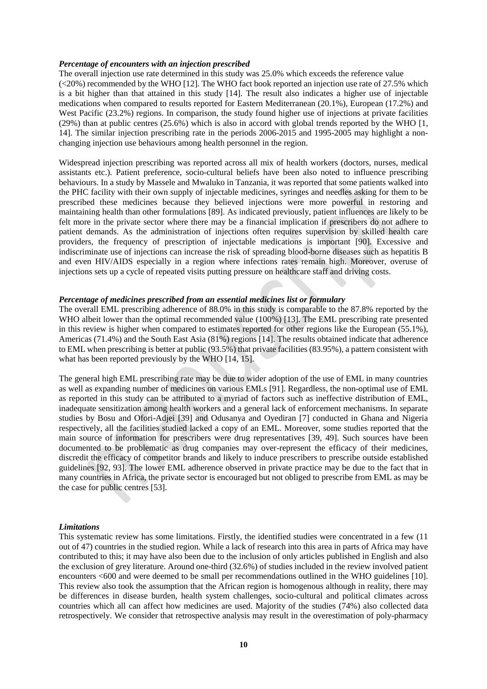#### *Percentage of encounters with an injection prescribed*

The overall injection use rate determined in this study was 25.0% which exceeds the reference value (<20%) recommended by the WHO [12]. The WHO fact book reported an injection use rate of 27.5% which is a bit higher than that attained in this study [14]. The result also indicates a higher use of injectable medications when compared to results reported for Eastern Mediterranean (20.1%), European (17.2%) and West Pacific (23.2%) regions. In comparison, the study found higher use of injections at private facilities (29%) than at public centres (25.6%) which is also in accord with global trends reported by the WHO [1, 14]. The similar injection prescribing rate in the periods 2006-2015 and 1995-2005 may highlight a nonchanging injection use behaviours among health personnel in the region.

Widespread injection prescribing was reported across all mix of health workers (doctors, nurses, medical assistants etc.). Patient preference, socio-cultural beliefs have been also noted to influence prescribing behaviours. In a study by Massele and Mwaluko in Tanzania, it was reported that some patients walked into the PHC facility with their own supply of injectable medicines, syringes and needles asking for them to be prescribed these medicines because they believed injections were more powerful in restoring and maintaining health than other formulations [89]. As indicated previously, patient influences are likely to be felt more in the private sector where there may be a financial implication if prescribers do not adhere to patient demands. As the administration of injections often requires supervision by skilled health care providers, the frequency of prescription of injectable medications is important [90]. Excessive and indiscriminate use of injections can increase the risk of spreading blood-borne diseases such as hepatitis B and even HIV/AIDS especially in a region where infections rates remain high. Moreover, overuse of injections sets up a cycle of repeated visits putting pressure on healthcare staff and driving costs.

## *Percentage of medicines prescribed from an essential medicines list or formulary*

The overall EML prescribing adherence of 88.0% in this study is comparable to the 87.8% reported by the WHO albeit lower than the optimal recommended value (100%) [13]. The EML prescribing rate presented in this review is higher when compared to estimates reported for other regions like the European (55.1%), Americas (71.4%) and the South East Asia (81%) regions [14]. The results obtained indicate that adherence to EML when prescribing is better at public (93.5%) that private facilities (83.95%), a pattern consistent with what has been reported previously by the WHO [14, 15].

The general high EML prescribing rate may be due to wider adoption of the use of EML in many countries as well as expanding number of medicines on various EMLs [91]. Regardless, the non-optimal use of EML as reported in this study can be attributed to a myriad of factors such as ineffective distribution of EML, inadequate sensitization among health workers and a general lack of enforcement mechanisms. In separate studies by Bosu and Ofori-Adjei [39] and Odusanya and Oyediran [7] conducted in Ghana and Nigeria respectively, all the facilities studied lacked a copy of an EML. Moreover, some studies reported that the main source of information for prescribers were drug representatives [39, 49]. Such sources have been documented to be problematic as drug companies may over-represent the efficacy of their medicines, discredit the efficacy of competitor brands and likely to induce prescribers to prescribe outside established guidelines [92, 93]. The lower EML adherence observed in private practice may be due to the fact that in many countries in Africa, the private sector is encouraged but not obliged to prescribe from EML as may be the case for public centres [53].

#### *Limitations*

This systematic review has some limitations. Firstly, the identified studies were concentrated in a few (11 out of 47) countries in the studied region. While a lack of research into this area in parts of Africa may have contributed to this; it may have also been due to the inclusion of only articles published in English and also the exclusion of grey literature. Around one-third (32.6%) of studies included in the review involved patient encounters <600 and were deemed to be small per recommendations outlined in the WHO guidelines [10]. This review also took the assumption that the African region is homogenous although in reality, there may be differences in disease burden, health system challenges, socio-cultural and political climates across countries which all can affect how medicines are used. Majority of the studies (74%) also collected data retrospectively. We consider that retrospective analysis may result in the overestimation of poly-pharmacy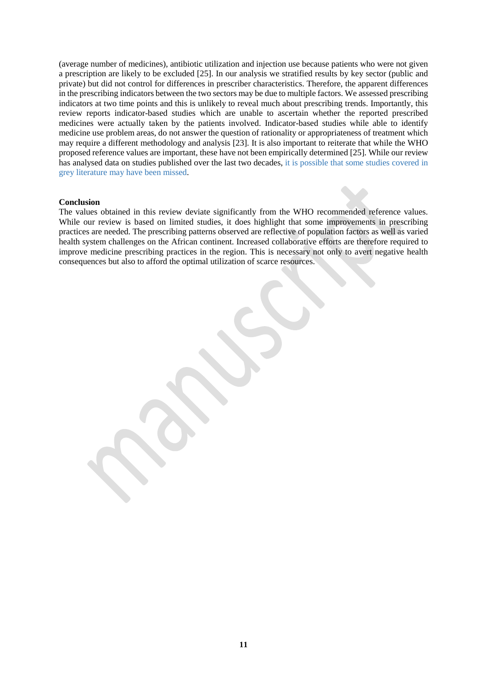(average number of medicines), antibiotic utilization and injection use because patients who were not given a prescription are likely to be excluded [25]. In our analysis we stratified results by key sector (public and private) but did not control for differences in prescriber characteristics. Therefore, the apparent differences in the prescribing indicators between the two sectors may be due to multiple factors. We assessed prescribing indicators at two time points and this is unlikely to reveal much about prescribing trends. Importantly, this review reports indicator-based studies which are unable to ascertain whether the reported prescribed medicines were actually taken by the patients involved. Indicator-based studies while able to identify medicine use problem areas, do not answer the question of rationality or appropriateness of treatment which may require a different methodology and analysis [23]. It is also important to reiterate that while the WHO proposed reference values are important, these have not been empirically determined [25]. While our review has analysed data on studies published over the last two decades, it is possible that some studies covered in grey literature may have been missed.

#### **Conclusion**

The values obtained in this review deviate significantly from the WHO recommended reference values. While our review is based on limited studies, it does highlight that some improvements in prescribing practices are needed. The prescribing patterns observed are reflective of population factors as well as varied health system challenges on the African continent. Increased collaborative efforts are therefore required to improve medicine prescribing practices in the region. This is necessary not only to avert negative health consequences but also to afford the optimal utilization of scarce resources.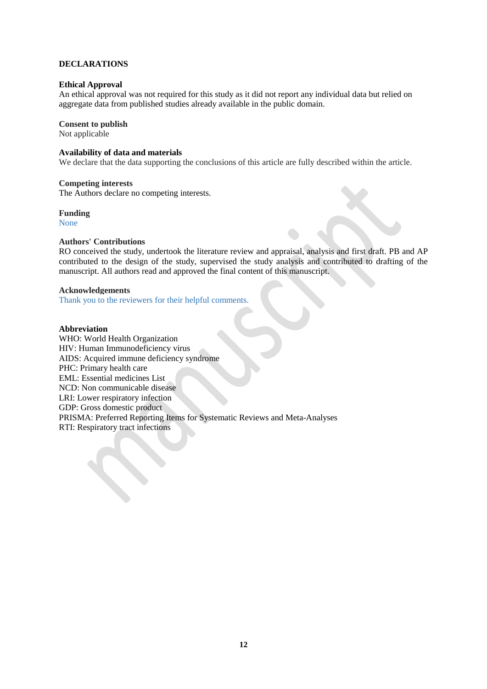# **DECLARATIONS**

## **Ethical Approval**

An ethical approval was not required for this study as it did not report any individual data but relied on aggregate data from published studies already available in the public domain.

## **Consent to publish**

Not applicable

## **Availability of data and materials**

We declare that the data supporting the conclusions of this article are fully described within the article.

## **Competing interests**

The Authors declare no competing interests.

## **Funding**

None

## **Authors' Contributions**

RO conceived the study, undertook the literature review and appraisal, analysis and first draft. PB and AP contributed to the design of the study, supervised the study analysis and contributed to drafting of the manuscript. All authors read and approved the final content of this manuscript.

# **Acknowledgements**

Thank you to the reviewers for their helpful comments.

## **Abbreviation**

WHO: World Health Organization HIV: Human Immunodeficiency virus AIDS: Acquired immune deficiency syndrome PHC: Primary health care EML: Essential medicines List NCD: Non communicable disease LRI: Lower respiratory infection GDP: Gross domestic product PRISMA: Preferred Reporting Items for Systematic Reviews and Meta-Analyses RTI: Respiratory tract infections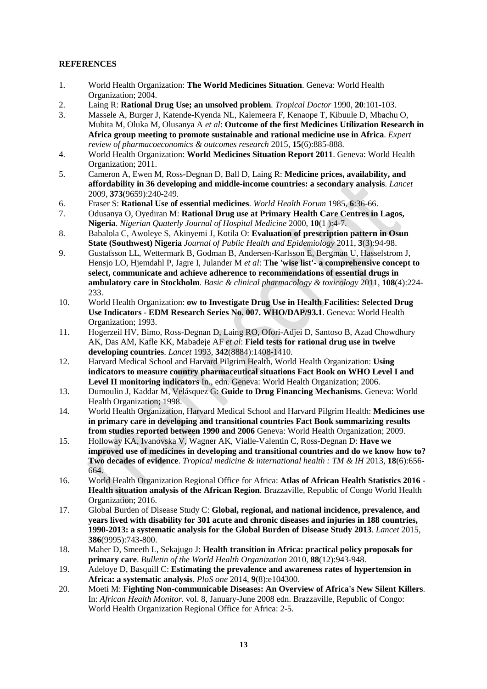# **REFERENCES**

- 1. World Health Organization: **The World Medicines Situation**. Geneva: World Health Organization; 2004.
- 2. Laing R: **Rational Drug Use; an unsolved problem**. *Tropical Doctor* 1990, **20**:101-103.
- 3. Massele A, Burger J, Katende-Kyenda NL, Kalemeera F, Kenaope T, Kibuule D, Mbachu O, Mubita M, Oluka M, Olusanya A *et al*: **Outcome of the first Medicines Utilization Research in Africa group meeting to promote sustainable and rational medicine use in Africa**. *Expert review of pharmacoeconomics & outcomes research* 2015, **15**(6):885-888.
- 4. World Health Organization: **World Medicines Situation Report 2011**. Geneva: World Health Organization; 2011.
- 5. Cameron A, Ewen M, Ross-Degnan D, Ball D, Laing R: **Medicine prices, availability, and affordability in 36 developing and middle-income countries: a secondary analysis**. *Lancet*  2009, **373**(9659):240-249.
- 6. Fraser S: **Rational Use of essential medicines**. *World Health Forum* 1985, **6**:36-66.
- 7. Odusanya O, Oyediran M: **Rational Drug use at Primary Health Care Centres in Lagos, Nigeria**. *Nigerian Quaterly Journal of Hospital Medicine* 2000, **10**(1 ):4-7.
- 8. Babalola C, Awoleye S, Akinyemi J, Kotila O: **Evaluation of prescription pattern in Osun State (Southwest) Nigeria** *Journal of Public Health and Epidemiology* 2011, **3**(3):94-98.
- 9. Gustafsson LL, Wettermark B, Godman B, Andersen-Karlsson E, Bergman U, Hasselstrom J, Hensjo LO, Hjemdahl P, Jagre I, Julander M *et al*: **The 'wise list'- a comprehensive concept to select, communicate and achieve adherence to recommendations of essential drugs in ambulatory care in Stockholm**. *Basic & clinical pharmacology & toxicology* 2011, **108**(4):224- 233.
- 10. World Health Organization: **ow to Investigate Drug Use in Health Facilities: Selected Drug Use Indicators - EDM Research Series No. 007. WHO/DAP/93.1**. Geneva: World Health Organization; 1993.
- 11. Hogerzeil HV, Bimo, Ross-Degnan D, Laing RO, Ofori-Adjei D, Santoso B, Azad Chowdhury AK, Das AM, Kafle KK, Mabadeje AF *et al*: **Field tests for rational drug use in twelve developing countries**. *Lancet* 1993, **342**(8884):1408-1410.
- 12. Harvard Medical School and Harvard Pilgrim Health, World Health Organization: **Using indicators to measure country pharmaceutical situations Fact Book on WHO Level I and Level II monitoring indicators** In*.*, edn. Geneva: World Health Organization; 2006.
- 13. Dumoulin J, Kaddar M, Velásquez G: **Guide to Drug Financing Mechanisms**. Geneva: World Health Organization; 1998.
- 14. World Health Organization, Harvard Medical School and Harvard Pilgrim Health: **Medicines use in primary care in developing and transitional countries Fact Book summarizing results from studies reported between 1990 and 2006** Geneva: World Health Organization; 2009.
- 15. Holloway KA, Ivanovska V, Wagner AK, Vialle-Valentin C, Ross-Degnan D: **Have we improved use of medicines in developing and transitional countries and do we know how to? Two decades of evidence**. *Tropical medicine & international health : TM & IH* 2013, **18**(6):656- 664.
- 16. World Health Organization Regional Office for Africa: **Atlas of African Health Statistics 2016 - Health situation analysis of the African Region**. Brazzaville, Republic of Congo World Health Organization; 2016.
- 17. Global Burden of Disease Study C: **Global, regional, and national incidence, prevalence, and years lived with disability for 301 acute and chronic diseases and injuries in 188 countries, 1990-2013: a systematic analysis for the Global Burden of Disease Study 2013**. *Lancet* 2015, **386**(9995):743-800.
- 18. Maher D, Smeeth L, Sekajugo J: **Health transition in Africa: practical policy proposals for primary care**. *Bulletin of the World Health Organization* 2010, **88**(12):943-948.
- 19. Adeloye D, Basquill C: **Estimating the prevalence and awareness rates of hypertension in Africa: a systematic analysis**. *PloS one* 2014, **9**(8):e104300.
- 20. Moeti M: **Fighting Non-communicable Diseases: An Overview of Africa's New Silent Killers**. In: *African Health Monitor.* vol. 8, January-June 2008 edn. Brazzaville, Republic of Congo: World Health Organization Regional Office for Africa: 2-5.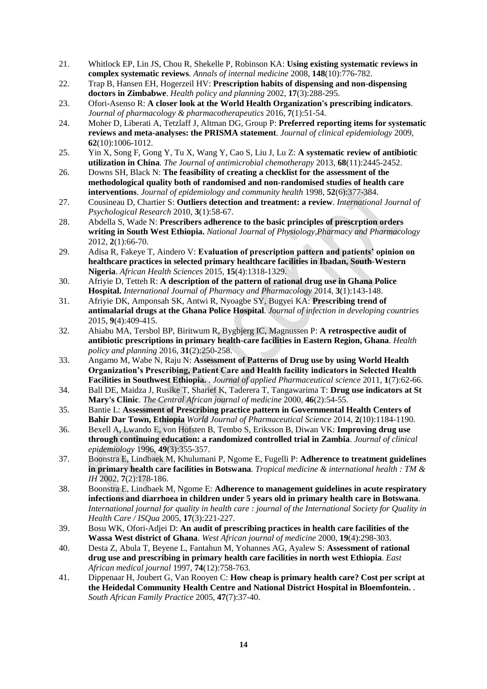- 21. Whitlock EP, Lin JS, Chou R, Shekelle P, Robinson KA: **Using existing systematic reviews in complex systematic reviews**. *Annals of internal medicine* 2008, **148**(10):776-782.
- 22. Trap B, Hansen EH, Hogerzeil HV: **Prescription habits of dispensing and non-dispensing doctors in Zimbabwe**. *Health policy and planning* 2002, **17**(3):288-295.
- 23. Ofori-Asenso R: **A closer look at the World Health Organization's prescribing indicators**. *Journal of pharmacology & pharmacotherapeutics* 2016, **7**(1):51-54.
- 24. Moher D, Liberati A, Tetzlaff J, Altman DG, Group P: **Preferred reporting items for systematic reviews and meta-analyses: the PRISMA statement**. *Journal of clinical epidemiology* 2009, **62**(10):1006-1012.
- 25. Yin X, Song F, Gong Y, Tu X, Wang Y, Cao S, Liu J, Lu Z: **A systematic review of antibiotic utilization in China**. *The Journal of antimicrobial chemotherapy* 2013, **68**(11):2445-2452.
- 26. Downs SH, Black N: **The feasibility of creating a checklist for the assessment of the methodological quality both of randomised and non-randomised studies of health care interventions**. *Journal of epidemiology and community health* 1998, **52**(6):377-384.
- 27. Cousineau D, Chartier S: **Outliers detection and treatment: a review**. *International Journal of Psychological Research* 2010, **3**(1):58-67.
- 28. Abdella S, Wade N: **Prescribers adherence to the basic principles of prescrption orders writing in South West Ethiopia.** *National Journal of Physiology,Pharmacy and Pharmacology*  2012, **2**(1):66-70.
- 29. Adisa R, Fakeye T, Aindero V: **Evaluation of prescription pattern and patients' opinion on healthcare practices in selected primary healthcare facilities in Ibadan, South-Western Nigeria**. *African Health Sciences* 2015, **15**(4):1318-1329.
- 30. Afriyie D, Tetteh R: **A description of the pattern of rational drug use in Ghana Police Hospital.** *International Journal of Pharmacy and Pharmacology* 2014, **3**(1):143-148.
- 31. Afriyie DK, Amponsah SK, Antwi R, Nyoagbe SY, Bugyei KA: **Prescribing trend of antimalarial drugs at the Ghana Police Hospital**. *Journal of infection in developing countries*  2015, **9**(4):409-415.
- 32. Ahiabu MA, Tersbol BP, Biritwum R, Bygbjerg IC, Magnussen P: **A retrospective audit of antibiotic prescriptions in primary health-care facilities in Eastern Region, Ghana**. *Health policy and planning* 2016, **31**(2):250-258.
- 33. Angamo M, Wabe N, Raju N: **Assessment of Patterns of Drug use by using World Health Organization's Prescribing, Patient Care and Health facility indicators in Selected Health Facilities in Southwest Ethiopia.** . *Journal of applied Pharmaceutical science* 2011, **1**(7):62-66.
- 34. Ball DE, Maidza J, Rusike T, Sharief K, Taderera T, Tangawarima T: **Drug use indicators at St Mary's Clinic**. *The Central African journal of medicine* 2000, **46**(2):54-55.
- 35. Bantie L: **Assessment of Prescribing practice pattern in Governmental Health Centers of Bahir Dar Town, Ethiopia** *World Journal of Pharmaceutical Science* 2014, **2**(10):1184-1190.
- 36. Bexell A, Lwando E, von Hofsten B, Tembo S, Eriksson B, Diwan VK: **Improving drug use through continuing education: a randomized controlled trial in Zambia**. *Journal of clinical epidemiology* 1996, **49**(3):355-357.
- 37. Boonstra E, Lindbaek M, Khulumani P, Ngome E, Fugelli P: **Adherence to treatment guidelines in primary health care facilities in Botswana**. *Tropical medicine & international health : TM & IH* 2002, **7**(2):178-186.
- 38. Boonstra E, Lindbaek M, Ngome E: **Adherence to management guidelines in acute respiratory infections and diarrhoea in children under 5 years old in primary health care in Botswana**. *International journal for quality in health care : journal of the International Society for Quality in Health Care / ISQua* 2005, **17**(3):221-227.
- 39. Bosu WK, Ofori-Adjei D: **An audit of prescribing practices in health care facilities of the Wassa West district of Ghana**. *West African journal of medicine* 2000, **19**(4):298-303.
- 40. Desta Z, Abula T, Beyene L, Fantahun M, Yohannes AG, Ayalew S: **Assessment of rational drug use and prescribing in primary health care facilities in north west Ethiopia**. *East African medical journal* 1997, **74**(12):758-763.
- 41. Dippenaar H, Joubert G, Van Rooyen C: **How cheap is primary health care? Cost per script at the Heidedal Community Health Centre and National District Hospital in Bloemfontein.** . *South African Family Practice* 2005, **47**(7):37-40.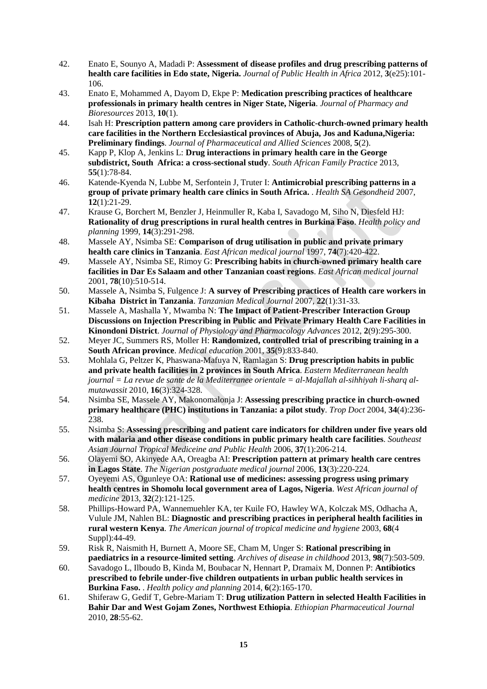- 42. Enato E, Sounyo A, Madadi P: **Assessment of disease profiles and drug prescribing patterns of health care facilities in Edo state, Nigeria.** *Journal of Public Health in Africa* 2012, **3**(e25):101- 106.
- 43. Enato E, Mohammed A, Dayom D, Ekpe P: **Medication prescribing practices of healthcare professionals in primary health centres in Niger State, Nigeria**. *Journal of Pharmacy and Bioresources* 2013, **10**(1).
- 44. Isah H: **Prescription pattern among care providers in Catholic-church-owned primary health care facilities in the Northern Ecclesiastical provinces of Abuja, Jos and Kaduna,Nigeria: Preliminary findings**. *Journal of Pharmaceutical and Allied Sciences* 2008, **5**(2).
- 45. Kapp P, Klop A, Jenkins L: **Drug interactions in primary health care in the George subdistrict, South Africa: a cross-sectional study**. *South African Family Practice* 2013, **55**(1):78-84.
- 46. Katende-Kyenda N, Lubbe M, Serfontein J, Truter I: **Antimicrobial prescribing patterns in a group of private primary health care clinics in South Africa.** . *Health SA Gesondheid* 2007, **12**(1):21-29.
- 47. Krause G, Borchert M, Benzler J, Heinmuller R, Kaba I, Savadogo M, Siho N, Diesfeld HJ: **Rationality of drug prescriptions in rural health centres in Burkina Faso**. *Health policy and planning* 1999, **14**(3):291-298.
- 48. Massele AY, Nsimba SE: **Comparison of drug utilisation in public and private primary health care clinics in Tanzania**. *East African medical journal* 1997, **74**(7):420-422.
- 49. Massele AY, Nsimba SE, Rimoy G: **Prescribing habits in church-owned primary health care facilities in Dar Es Salaam and other Tanzanian coast regions**. *East African medical journal*  2001, **78**(10):510-514.
- 50. Massele A, Nsimba S, Fulgence J: **A survey of Prescribing practices of Health care workers in Kibaha District in Tanzania**. *Tanzanian Medical Journal* 2007, **22**(1):31-33.
- 51. Massele A, Mashalla Y, Mwamba N: **The Impact of Patient-Prescriber Interaction Group Discussions on Injection Prescribing in Public and Private Primary Health Care Facilities in Kinondoni District**. *Journal of Physiology and Pharmacology Advances* 2012, **2**(9):295-300.
- 52. Meyer JC, Summers RS, Moller H: **Randomized, controlled trial of prescribing training in a South African province**. *Medical education* 2001, **35**(9):833-840.
- 53. Mohlala G, Peltzer K, Phaswana-Mafuya N, Ramlagan S: **Drug prescription habits in public and private health facilities in 2 provinces in South Africa**. *Eastern Mediterranean health journal = La revue de sante de la Mediterranee orientale = al-Majallah al-sihhiyah li-sharq almutawassit* 2010, **16**(3):324-328.
- 54. Nsimba SE, Massele AY, Makonomalonja J: **Assessing prescribing practice in church-owned primary healthcare (PHC) institutions in Tanzania: a pilot study**. *Trop Doct* 2004, **34**(4):236- 238.
- 55. Nsimba S: **Assessing prescribing and patient care indicators for children under five years old with malaria and other disease conditions in public primary health care facilities**. *Southeast Asian Journal Tropical Mediceine and Public Health* 2006, **37**(1):206-214.
- 56. Olayemi SO, Akinyede AA, Oreagba AI: **Prescription pattern at primary health care centres in Lagos State**. *The Nigerian postgraduate medical journal* 2006, **13**(3):220-224.
- 57. Oyeyemi AS, Ogunleye OA: **Rational use of medicines: assessing progress using primary health centres in Shomolu local government area of Lagos, Nigeria**. *West African journal of medicine* 2013, **32**(2):121-125.
- 58. Phillips-Howard PA, Wannemuehler KA, ter Kuile FO, Hawley WA, Kolczak MS, Odhacha A, Vulule JM, Nahlen BL: **Diagnostic and prescribing practices in peripheral health facilities in rural western Kenya**. *The American journal of tropical medicine and hygiene* 2003, **68**(4 Suppl):44-49.
- 59. Risk R, Naismith H, Burnett A, Moore SE, Cham M, Unger S: **Rational prescribing in paediatrics in a resource-limited setting**. *Archives of disease in childhood* 2013, **98**(7):503-509.
- 60. Savadogo L, Ilboudo B, Kinda M, Boubacar N, Hennart P, Dramaix M, Donnen P: **Antibiotics prescribed to febrile under-five children outpatients in urban public health services in Burkina Faso.** . *Health policy and planning* 2014, **6**(2):165-170.
- 61. Shiferaw G, Gedif T, Gebre-Mariam T: **Drug utilization Pattern in selected Health Facilities in Bahir Dar and West Gojam Zones, Northwest Ethiopia**. *Ethiopian Pharmaceutical Journal*  2010, **28**:55-62.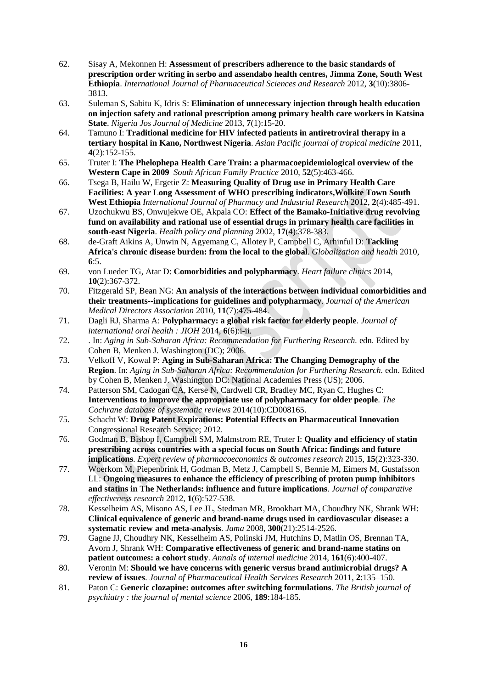- 62. Sisay A, Mekonnen H: **Assessment of prescribers adherence to the basic standards of prescription order writing in serbo and assendabo health centres, Jimma Zone, South West Ethiopia**. *International Journal of Pharmaceutical Sciences and Research* 2012, **3**(10):3806- 3813.
- 63. Suleman S, Sabitu K, Idris S: **Elimination of unnecessary injection through health education on injection safety and rational prescription among primary health care workers in Katsina State**. *Nigeria Jos Journal of Medicine* 2013, **7**(1):15-20.
- 64. Tamuno I: **Traditional medicine for HIV infected patients in antiretroviral therapy in a tertiary hospital in Kano, Northwest Nigeria**. *Asian Pacific journal of tropical medicine* 2011, **4**(2):152-155.
- 65. Truter I: **The Phelophepa Health Care Train: a pharmacoepidemiological overview of the Western Cape in 2009** *South African Family Practice* 2010, **52**(5):463-466.
- 66. Tsega B, Hailu W, Ergetie Z: **Measuring Quality of Drug use in Primary Health Care Facilities: A year Long Assessment of WHO prescribing indicators,Wolkite Town South West Ethiopia** *International Journal of Pharmacy and Industrial Research* 2012, **2**(4):485-491.
- 67. Uzochukwu BS, Onwujekwe OE, Akpala CO: **Effect of the Bamako-Initiative drug revolving fund on availability and rational use of essential drugs in primary health care facilities in south-east Nigeria**. *Health policy and planning* 2002, **17**(4):378-383.
- 68. de-Graft Aikins A, Unwin N, Agyemang C, Allotey P, Campbell C, Arhinful D: **Tackling Africa's chronic disease burden: from the local to the global**. *Globalization and health* 2010, **6**:5.
- 69. von Lueder TG, Atar D: **Comorbidities and polypharmacy**. *Heart failure clinics* 2014, **10**(2):367-372.
- 70. Fitzgerald SP, Bean NG: **An analysis of the interactions between individual comorbidities and their treatments--implications for guidelines and polypharmacy**. *Journal of the American Medical Directors Association* 2010, **11**(7):475-484.
- 71. Dagli RJ, Sharma A: **Polypharmacy: a global risk factor for elderly people**. *Journal of international oral health : JIOH* 2014, **6**(6):i-ii.
- 72. . In: *Aging in Sub-Saharan Africa: Recommendation for Furthering Research.* edn. Edited by Cohen B, Menken J. Washington (DC); 2006.
- 73. Velkoff V, Kowal P: **Aging in Sub-Saharan Africa: The Changing Demography of the Region**. In: *Aging in Sub-Saharan Africa: Recommendation for Furthering Research.* edn. Edited by Cohen B, Menken J. Washington DC: National Academies Press (US); 2006.
- 74. Patterson SM, Cadogan CA, Kerse N, Cardwell CR, Bradley MC, Ryan C, Hughes C: **Interventions to improve the appropriate use of polypharmacy for older people**. *The Cochrane database of systematic reviews* 2014(10):CD008165.
- 75. Schacht W: **Drug Patent Expirations: Potential Effects on Pharmaceutical Innovation**  Congressional Research Service; 2012.
- 76. Godman B, Bishop I, Campbell SM, Malmstrom RE, Truter I: **Quality and efficiency of statin prescribing across countries with a special focus on South Africa: findings and future implications**. *Expert review of pharmacoeconomics & outcomes research* 2015, **15**(2):323-330.
- 77. Woerkom M, Piepenbrink H, Godman B, Metz J, Campbell S, Bennie M, Eimers M, Gustafsson LL: **Ongoing measures to enhance the efficiency of prescribing of proton pump inhibitors and statins in The Netherlands: influence and future implications**. *Journal of comparative effectiveness research* 2012, **1**(6):527-538.
- 78. Kesselheim AS, Misono AS, Lee JL, Stedman MR, Brookhart MA, Choudhry NK, Shrank WH: **Clinical equivalence of generic and brand-name drugs used in cardiovascular disease: a systematic review and meta-analysis**. *Jama* 2008, **300**(21):2514-2526.
- 79. Gagne JJ, Choudhry NK, Kesselheim AS, Polinski JM, Hutchins D, Matlin OS, Brennan TA, Avorn J, Shrank WH: **Comparative effectiveness of generic and brand-name statins on patient outcomes: a cohort study**. *Annals of internal medicine* 2014, **161**(6):400-407.
- 80. Veronin M: **Should we have concerns with generic versus brand antimicrobial drugs? A review of issues**. *Journal of Pharmaceutical Health Services Research* 2011, **2**:135–150.
- 81. Paton C: **Generic clozapine: outcomes after switching formulations**. *The British journal of psychiatry : the journal of mental science* 2006, **189**:184-185.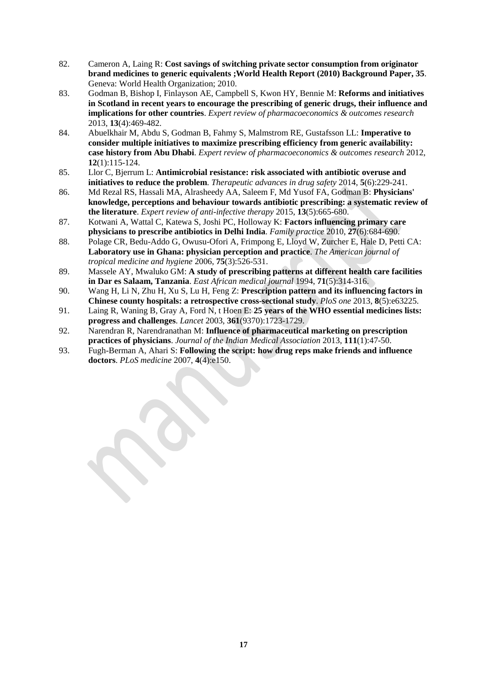- 82. Cameron A, Laing R: **Cost savings of switching private sector consumption from originator brand medicines to generic equivalents ;World Health Report (2010) Background Paper, 35**. Geneva: World Health Organization; 2010.
- 83. Godman B, Bishop I, Finlayson AE, Campbell S, Kwon HY, Bennie M: **Reforms and initiatives in Scotland in recent years to encourage the prescribing of generic drugs, their influence and implications for other countries**. *Expert review of pharmacoeconomics & outcomes research*  2013, **13**(4):469-482.
- 84. Abuelkhair M, Abdu S, Godman B, Fahmy S, Malmstrom RE, Gustafsson LL: **Imperative to consider multiple initiatives to maximize prescribing efficiency from generic availability: case history from Abu Dhabi**. *Expert review of pharmacoeconomics & outcomes research* 2012, **12**(1):115-124.
- 85. Llor C, Bjerrum L: **Antimicrobial resistance: risk associated with antibiotic overuse and initiatives to reduce the problem**. *Therapeutic advances in drug safety* 2014, **5**(6):229-241.
- 86. Md Rezal RS, Hassali MA, Alrasheedy AA, Saleem F, Md Yusof FA, Godman B: **Physicians' knowledge, perceptions and behaviour towards antibiotic prescribing: a systematic review of the literature**. *Expert review of anti-infective therapy* 2015, **13**(5):665-680.
- 87. Kotwani A, Wattal C, Katewa S, Joshi PC, Holloway K: **Factors influencing primary care physicians to prescribe antibiotics in Delhi India**. *Family practice* 2010, **27**(6):684-690.
- 88. Polage CR, Bedu-Addo G, Owusu-Ofori A, Frimpong E, Lloyd W, Zurcher E, Hale D, Petti CA: **Laboratory use in Ghana: physician perception and practice**. *The American journal of tropical medicine and hygiene* 2006, **75**(3):526-531.
- 89. Massele AY, Mwaluko GM: **A study of prescribing patterns at different health care facilities in Dar es Salaam, Tanzania**. *East African medical journal* 1994, **71**(5):314-316.
- 90. Wang H, Li N, Zhu H, Xu S, Lu H, Feng Z: **Prescription pattern and its influencing factors in Chinese county hospitals: a retrospective cross-sectional study**. *PloS one* 2013, **8**(5):e63225.
- 91. Laing R, Waning B, Gray A, Ford N, t Hoen E: **25 years of the WHO essential medicines lists: progress and challenges**. *Lancet* 2003, **361**(9370):1723-1729.
- 92. Narendran R, Narendranathan M: **Influence of pharmaceutical marketing on prescription practices of physicians**. *Journal of the Indian Medical Association* 2013, **111**(1):47-50.
- 93. Fugh-Berman A, Ahari S: **Following the script: how drug reps make friends and influence doctors**. *PLoS medicine* 2007, **4**(4):e150.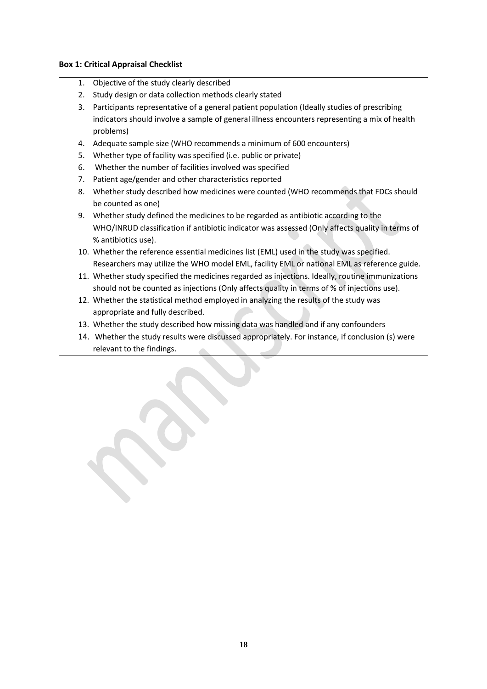# **Box 1: Critical Appraisal Checklist**

- 1. Objective of the study clearly described
- 2. Study design or data collection methods clearly stated
- 3. Participants representative of a general patient population (Ideally studies of prescribing indicators should involve a sample of general illness encounters representing a mix of health problems)
- 4. Adequate sample size (WHO recommends a minimum of 600 encounters)
- 5. Whether type of facility was specified (i.e. public or private)
- 6. Whether the number of facilities involved was specified
- 7. Patient age/gender and other characteristics reported
- 8. Whether study described how medicines were counted (WHO recommends that FDCs should be counted as one)
- 9. Whether study defined the medicines to be regarded as antibiotic according to the WHO/INRUD classification if antibiotic indicator was assessed (Only affects quality in terms of % antibiotics use).
- 10. Whether the reference essential medicines list (EML) used in the study was specified. Researchers may utilize the WHO model EML, facility EML or national EML as reference guide.
- 11. Whether study specified the medicines regarded as injections. Ideally, routine immunizations should not be counted as injections (Only affects quality in terms of % of injections use).
- 12. Whether the statistical method employed in analyzing the results of the study was appropriate and fully described.
- 13. Whether the study described how missing data was handled and if any confounders
- 14. Whether the study results were discussed appropriately. For instance, if conclusion (s) were relevant to the findings.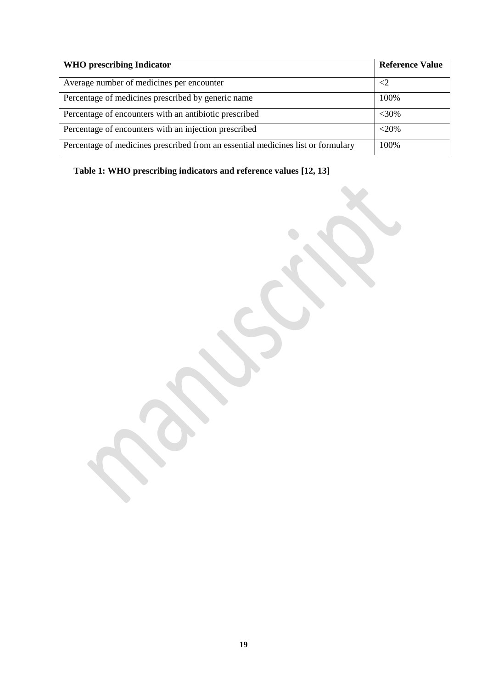| <b>WHO</b> prescribing Indicator                                                 | <b>Reference Value</b> |
|----------------------------------------------------------------------------------|------------------------|
| Average number of medicines per encounter                                        | $\leq$ 2               |
| Percentage of medicines prescribed by generic name                               | 100%                   |
| Percentage of encounters with an antibiotic prescribed                           | $<$ 30%                |
| Percentage of encounters with an injection prescribed                            | $<$ 20%                |
| Percentage of medicines prescribed from an essential medicines list or formulary | 100%                   |

**Table 1: WHO prescribing indicators and reference values [12, 13]**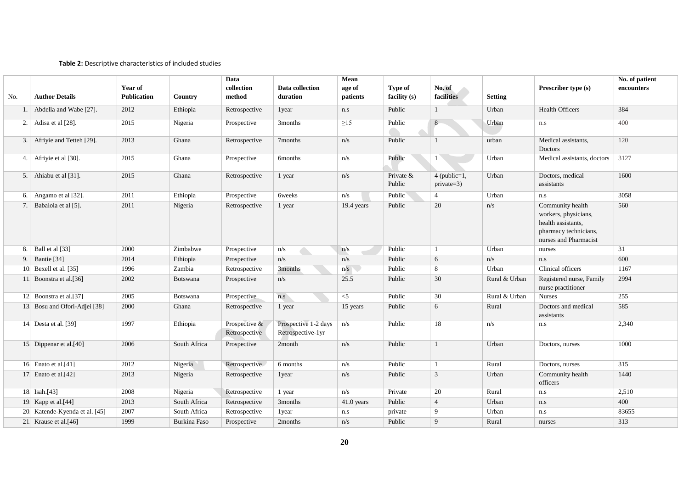#### **Table 2:** Descriptive characteristics of included studies

|     | Mean<br>Data                  |                               |              |                                |                                           | No. of patient     |                         |                              |                |                                                                                                                  |            |
|-----|-------------------------------|-------------------------------|--------------|--------------------------------|-------------------------------------------|--------------------|-------------------------|------------------------------|----------------|------------------------------------------------------------------------------------------------------------------|------------|
| No. | <b>Author Details</b>         | Year of<br><b>Publication</b> | Country      | collection<br>method           | Data collection<br>duration               | age of<br>patients | Type of<br>facility (s) | No. of<br>facilities         | <b>Setting</b> | Prescriber type (s)                                                                                              | encounters |
| 1.  | Abdella and Wabe [27].        | 2012                          | Ethiopia     | Retrospective                  | 1year                                     | n.s                | Public                  | $\mathbf{1}$                 | Urban          | <b>Health Officers</b>                                                                                           | 384        |
| 2.  | Adisa et al [28].             | 2015                          | Nigeria      | Prospective                    | 3months                                   | $\geq$ 15          | Public                  | 8                            | Urban          | n.s                                                                                                              | 400        |
| 3.  | Afriyie and Tetteh [29].      | 2013                          | Ghana        | Retrospective                  | 7months                                   | n/s                | Public                  | 1                            | urban          | Medical assistants,<br>Doctors                                                                                   | 120        |
| 4.1 | Afriyie et al [30].           | 2015                          | Ghana        | Prospective                    | <b>6months</b>                            | n/s                | Public                  | $1^{\circ}$                  | Urban          | Medical assistants, doctors                                                                                      | 3127       |
| 5.  | Ahiabu et al [31].            | 2015                          | Ghana        | Retrospective                  | 1 year                                    | n/s                | Private &<br>Public     | $4$ (public=1,<br>private=3) | Urban          | Doctors, medical<br>assistants                                                                                   | 1600       |
| 6.  | Angamo et al [32].            | 2011                          | Ethiopia     | Prospective                    | <b>6weeks</b>                             | n/s                | Public                  | $\overline{4}$               | Urban          | n.s                                                                                                              | 3058       |
| 7.  | Babalola et al [5].           | 2011                          | Nigeria      | Retrospective                  | 1 year                                    | 19.4 years         | Public                  | 20                           | n/s            | Community health<br>workers, physicians,<br>health assistants,<br>pharmacy technicians,<br>nurses and Pharmacist | 560        |
| 8.  | Ball et al [33]               | 2000                          | Zimbabwe     | Prospective                    | n/s                                       | n/s                | Public                  | $\mathbf{1}$                 | Urban          | nurses                                                                                                           | 31         |
| 9.  | Bantie [34]                   | 2014                          | Ethiopia     | Prospective                    | n/s                                       | n/s                | Public                  | 6                            | n/s            | n.s                                                                                                              | 600        |
|     | 10 Bexell et al. [35]         | 1996                          | Zambia       | Retrospective                  | 3months                                   | n/s                | Public                  | 8                            | Urban          | Clinical officers                                                                                                | 1167       |
| 11  | Boonstra et al.[36]           | 2002                          | Botswana     | Prospective                    | n/s                                       | 25.5               | Public                  | 30                           | Rural & Urban  | Registered nurse, Family<br>nurse practitioner                                                                   | 2994       |
|     | 12 Boonstra et al.[37]        | 2005                          | Botswana     | Prospective                    | n.s                                       | $<$ 5              | Public                  | 30                           | Rural & Urban  | <b>Nurses</b>                                                                                                    | 255        |
|     | 13 Bosu and Ofori-Adjei [38]  | 2000                          | Ghana        | Retrospective                  | 1 year                                    | 15 years           | Public                  | 6                            | Rural          | Doctors and medical<br>assistants                                                                                | 585        |
|     | 14 Desta et al. $[39]$        | 1997                          | Ethiopia     | Prospective &<br>Retrospective | Prospective 1-2 days<br>Retrospective-1yr | n/s                | Public                  | 18                           | n/s            | n.s                                                                                                              | 2,340      |
|     | 15 Dippenar et al.[40]        | 2006                          | South Africa | Prospective                    | 2month                                    | n/s                | Public                  | $\mathbf{1}$                 | Urban          | Doctors, nurses                                                                                                  | 1000       |
|     | 16 Enato et al. $[41]$        | 2012                          | Nigeria      | Retrospective                  | 6 months                                  | n/s                | Public                  | $\mathbf{1}$                 | Rural          | Doctors, nurses                                                                                                  | 315        |
|     | 17 Enato et al. $[42]$        | 2013                          | Nigeria      | Retrospective                  | 1year                                     | n/s                | Public                  | $\mathbf{3}$                 | Urban          | Community health<br>officers                                                                                     | 1440       |
|     | $18$ Isah.[43]                | 2008                          | Nigeria      | Retrospective                  | 1 year                                    | n/s                | Private                 | 20                           | Rural          | n.s                                                                                                              | 2,510      |
|     | 19 Kapp et al.[44]            | 2013                          | South Africa | Retrospective                  | 3months                                   | 41.0 years         | Public                  | $\overline{4}$               | Urban          | n.s                                                                                                              | 400        |
|     | 20 Katende-Kyenda et al. [45] | 2007                          | South Africa | Retrospective                  | 1 year                                    | n.s                | private                 | 9                            | Urban          | n.s                                                                                                              | 83655      |
|     | 21 Krause et al.[46]          | 1999                          | Burkina Faso | Prospective                    | 2months                                   | n/s                | Public                  | 9                            | Rural          | nurses                                                                                                           | 313        |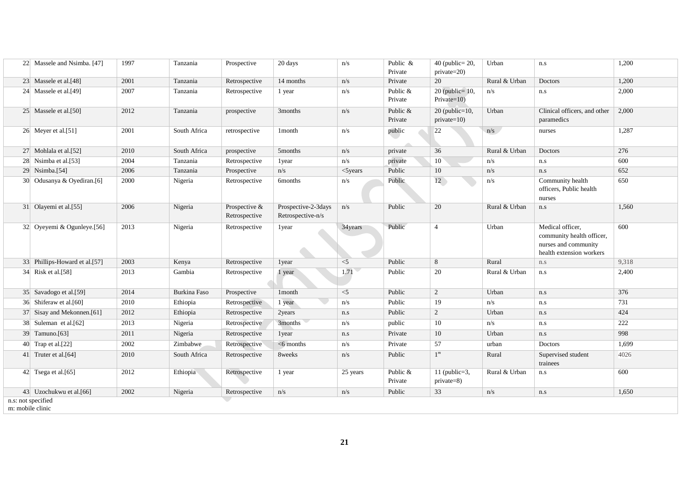|                                        | 22 Massele and Nsimba. [47]   | 1997 | Tanzania     | Prospective                    | 20 days                                  | n/s         | Public &<br>Private | $40$ (public= 20,<br>private=20)       | Urban         | n.s                                                                                               | 1,200 |
|----------------------------------------|-------------------------------|------|--------------|--------------------------------|------------------------------------------|-------------|---------------------|----------------------------------------|---------------|---------------------------------------------------------------------------------------------------|-------|
|                                        | 23 Massele et al. [48]        | 2001 | Tanzania     | Retrospective                  | 14 months                                | n/s         | Private             | 20                                     | Rural & Urban | Doctors                                                                                           | 1,200 |
|                                        | 24 Massele et al. [49]        | 2007 | Tanzania     | Retrospective                  | 1 year                                   | n/s         | Public &<br>Private | $20$ (public= 10,<br>$Private=10$ )    | n/s           | n.s                                                                                               | 2,000 |
|                                        | 25 Massele et al.[50]         | 2012 | Tanzania     | prospective                    | 3months                                  | n/s         | Public &<br>Private | $20$ (public= $10$ ,<br>$private=10$ ) | Urban         | Clinical officers, and other<br>paramedics                                                        | 2,000 |
|                                        | 26 Meyer et al.[51]           | 2001 | South Africa | retrospective                  | 1month                                   | n/s         | public              | 22                                     | n/s           | nurses                                                                                            | 1,287 |
|                                        | 27 Mohlala et al.[52]         | 2010 | South Africa | prospective                    | 5 <sub>months</sub>                      | n/s         | private             | 36                                     | Rural & Urban | Doctors                                                                                           | 276   |
|                                        | 28 Nsimba et al.[53]          | 2004 | Tanzania     | Retrospective                  | 1year                                    | n/s         | private             | 10 <sup>7</sup>                        | n/s           | n.s                                                                                               | 600   |
|                                        | 29 Nsimba.[54]                | 2006 | Tanzania     | Prospective                    | n/s                                      | $<$ 5 years | Public              | 10                                     | n/s           | n.s                                                                                               | 652   |
|                                        | 30 Odusanya & Oyediran.[6]    | 2000 | Nigeria      | Retrospective                  | <b>6months</b>                           | n/s         | Public              | 12                                     | n/s           | Community health<br>officers, Public health<br>nurses                                             | 650   |
|                                        | 31 Olayemi et al.[55]         | 2006 | Nigeria      | Prospective &<br>Retrospective | Prospective-2-3days<br>Retrospective-n/s | n/s         | Public              | 20                                     | Rural & Urban | n.s                                                                                               | 1,560 |
|                                        | 32 Oyeyemi & Ogunleye.[56]    | 2013 | Nigeria      | Retrospective                  | 1year                                    | 34years     | Public              | $\overline{4}$                         | Urban         | Medical officer,<br>community health officer,<br>nurses and community<br>health extension workers | 600   |
|                                        | 33 Phillips-Howard et al.[57] | 2003 | Kenya        | Retrospective                  | 1year                                    | $<$ 5       | Public              | 8                                      | Rural         | n.s                                                                                               | 9,318 |
|                                        | 34 Risk et al.[58]            | 2013 | Gambia       | Retrospective                  | 1 year                                   | 1.71        | Public              | 20                                     | Rural & Urban | n.s                                                                                               | 2,400 |
|                                        | 35 Savadogo et al.[59]        | 2014 | Burkina Faso | Prospective                    | 1month                                   | $<$ 5       | Public              | 2                                      | Urban         | n.s                                                                                               | 376   |
|                                        | 36 Shiferaw et al. [60]       | 2010 | Ethiopia     | Retrospective                  | 1 year                                   | n/s         | Public              | 19                                     | n/s           | n.s                                                                                               | 731   |
|                                        | 37 Sisay and Mekonnen.[61]    | 2012 | Ethiopia     | Retrospective                  | 2years                                   | n.s         | Public              | 2                                      | Urban         | n.s                                                                                               | 424   |
|                                        | 38 Suleman et al.[62]         | 2013 | Nigeria      | Retrospective                  | 3months                                  | n/s         | public              | 10                                     | n/s           | n.s                                                                                               | 222   |
|                                        | 39 Tamuno.[63]                | 2011 | Nigeria      | Retrospective                  | 1year                                    | $\rm n.s$   | Private             | 10                                     | Urban         | n.s                                                                                               | 998   |
|                                        | 40 Trap et al. $[22]$         | 2002 | Zimbabwe     | Retrospective                  | $<$ 6 months                             | n/s         | Private             | 57                                     | urban         | Doctors                                                                                           | 1,699 |
|                                        | 41 Truter et al. [64]         | 2010 | South Africa | Retrospective                  | 8weeks                                   | n/s         | Public              | $1^m$                                  | Rural         | Supervised student<br>trainees                                                                    | 4026  |
|                                        | 42 Tsega et al. $[65]$        | 2012 | Ethiopia     | Retrospective                  | 1 year                                   | 25 years    | Public &<br>Private | 11 (public= $3$ ,<br>private=8)        | Rural & Urban | n.s                                                                                               | 600   |
|                                        | 43 Uzochukwu et al.[66]       | 2002 | Nigeria      | Retrospective                  | n/s                                      | n/s         | Public              | 33                                     | n/s           | n.s                                                                                               | 1,650 |
| n.s: not specified<br>m: mobile clinic |                               |      |              |                                |                                          |             |                     |                                        |               |                                                                                                   |       |